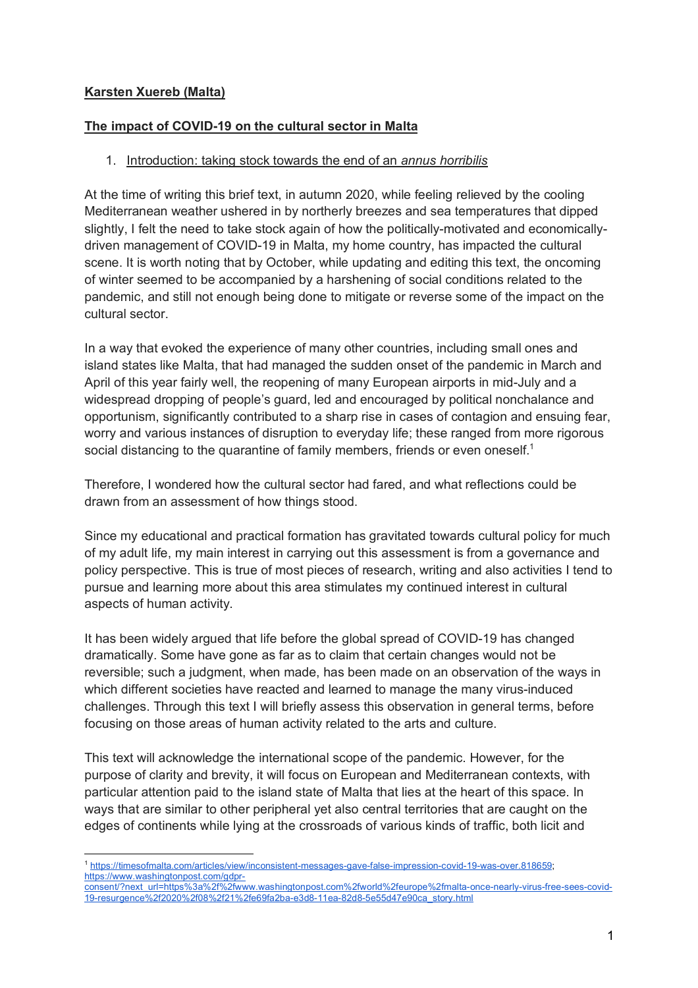## **Karsten Xuereb (Malta)**

#### **The impact of COVID-19 on the cultural sector in Malta**

#### 1. Introduction: taking stock towards the end of an *annus horribilis*

At the time of writing this brief text, in autumn 2020, while feeling relieved by the cooling Mediterranean weather ushered in by northerly breezes and sea temperatures that dipped slightly, I felt the need to take stock again of how the politically-motivated and economicallydriven management of COVID-19 in Malta, my home country, has impacted the cultural scene. It is worth noting that by October, while updating and editing this text, the oncoming of winter seemed to be accompanied by a harshening of social conditions related to the pandemic, and still not enough being done to mitigate or reverse some of the impact on the cultural sector.

In a way that evoked the experience of many other countries, including small ones and island states like Malta, that had managed the sudden onset of the pandemic in March and April of this year fairly well, the reopening of many European airports in mid-July and a widespread dropping of people's guard, led and encouraged by political nonchalance and opportunism, significantly contributed to a sharp rise in cases of contagion and ensuing fear, worry and various instances of disruption to everyday life; these ranged from more rigorous social distancing to the quarantine of family members, friends or even oneself.<sup>1</sup>

Therefore, I wondered how the cultural sector had fared, and what reflections could be drawn from an assessment of how things stood.

Since my educational and practical formation has gravitated towards cultural policy for much of my adult life, my main interest in carrying out this assessment is from a governance and policy perspective. This is true of most pieces of research, writing and also activities I tend to pursue and learning more about this area stimulates my continued interest in cultural aspects of human activity.

It has been widely argued that life before the global spread of COVID-19 has changed dramatically. Some have gone as far as to claim that certain changes would not be reversible; such a judgment, when made, has been made on an observation of the ways in which different societies have reacted and learned to manage the many virus-induced challenges. Through this text I will briefly assess this observation in general terms, before focusing on those areas of human activity related to the arts and culture.

This text will acknowledge the international scope of the pandemic. However, for the purpose of clarity and brevity, it will focus on European and Mediterranean contexts, with particular attention paid to the island state of Malta that lies at the heart of this space. In ways that are similar to other peripheral yet also central territories that are caught on the edges of continents while lying at the crossroads of various kinds of traffic, both licit and

 <sup>1</sup> https://timesofmalta.com/articles/view/inconsistent-messages-gave-false-impression-covid-19-was-over.818659; https://www.washingtonpost.com/gdpr-

consent/?next\_url=https%3a%2f%2fwww.washingtonpost.com%2fworld%2feurope%2fmalta-once-nearly-virus-free-sees-covid-19-resurgence%2f2020%2f08%2f21%2fe69fa2ba-e3d8-11ea-82d8-5e55d47e90ca\_story.html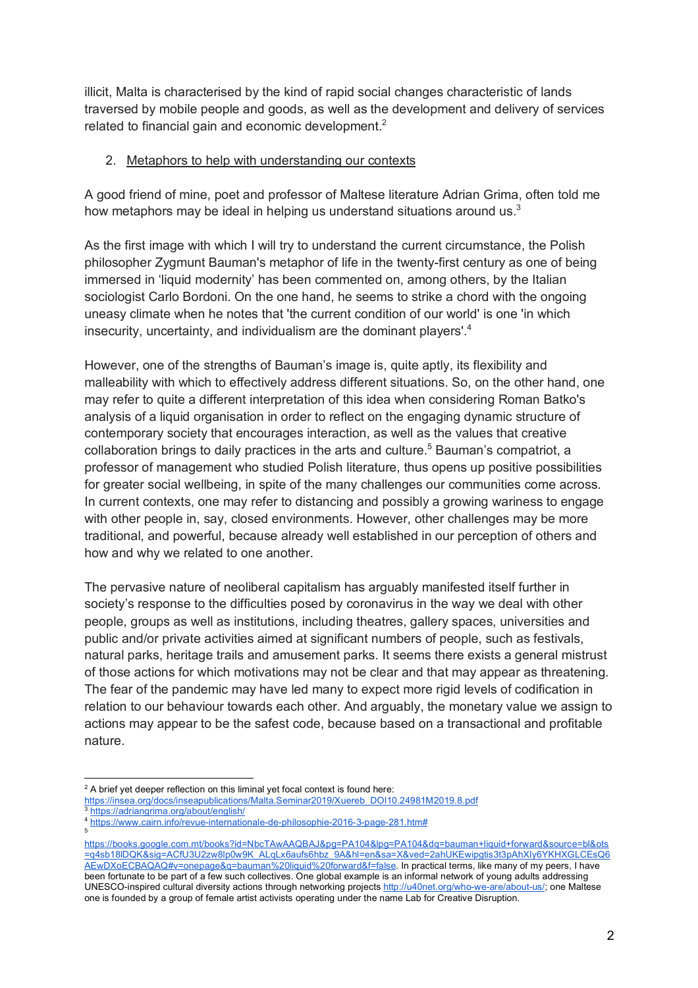illicit, Malta is characterised by the kind of rapid social changes characteristic of lands traversed by mobile people and goods, as well as the development and delivery of services related to financial gain and economic development.<sup>2</sup>

## 2. Metaphors to help with understanding our contexts

A good friend of mine, poet and professor of Maltese literature Adrian Grima, often told me how metaphors may be ideal in helping us understand situations around us.<sup>3</sup>

As the first image with which I will try to understand the current circumstance, the Polish philosopher Zygmunt Bauman's metaphor of life in the twenty-first century as one of being immersed in 'liquid modernity' has been commented on, among others, by the Italian sociologist Carlo Bordoni. On the one hand, he seems to strike a chord with the ongoing uneasy climate when he notes that 'the current condition of our world' is one 'in which insecurity, uncertainty, and individualism are the dominant players'.4

However, one of the strengths of Bauman's image is, quite aptly, its flexibility and malleability with which to effectively address different situations. So, on the other hand, one may refer to quite a different interpretation of this idea when considering Roman Batko's analysis of a liquid organisation in order to reflect on the engaging dynamic structure of contemporary society that encourages interaction, as well as the values that creative collaboration brings to daily practices in the arts and culture.<sup>5</sup> Bauman's compatriot, a professor of management who studied Polish literature, thus opens up positive possibilities for greater social wellbeing, in spite of the many challenges our communities come across. In current contexts, one may refer to distancing and possibly a growing wariness to engage with other people in, say, closed environments. However, other challenges may be more traditional, and powerful, because already well established in our perception of others and how and why we related to one another.

The pervasive nature of neoliberal capitalism has arguably manifested itself further in society's response to the difficulties posed by coronavirus in the way we deal with other people, groups as well as institutions, including theatres, gallery spaces, universities and public and/or private activities aimed at significant numbers of people, such as festivals, natural parks, heritage trails and amusement parks. It seems there exists a general mistrust of those actions for which motivations may not be clear and that may appear as threatening. The fear of the pandemic may have led many to expect more rigid levels of codification in relation to our behaviour towards each other. And arguably, the monetary value we assign to actions may appear to be the safest code, because based on a transactional and profitable nature.

- $2$  A brief yet deeper reflection on this liminal yet focal context is found here:
- https://insea.org/docs/inseapublications/Malta.Seminar2019/Xuereb\_DOI10.24981M2019.8.pdf
- https://adriangrima.org/about/english/
- <sup>4</sup> https://www.cairn.info/revue-internationale-de-philosophie-2016-3-page-281.htm# 5

https://books.google.com.mt/books?id=NbcTAwAAQBAJ&pg=PA104&lpg=PA104&dq=bauman+liquid+forward&source=bl&ots =q4sb18lDQK&sig=ACfU3U2zw8lp0w9K\_ALqLx6aufs6hbz\_9A&hl=en&sa=X&ved=2ahUKEwipgtis3t3pAhXIy6YKHXGLCEsQ6 AEwDXoECBAQAQ#v=onepage&q=bauman%20liquid%20forward&f=false. In practical terms, like many of my peers, I have been fortunate to be part of a few such collectives. One global example is an informal network of young adults addressing UNESCO-inspired cultural diversity actions through networking projects http://u40net.org/who-we-are/about-us/; one Maltese one is founded by a group of female artist activists operating under the name Lab for Creative Disruption.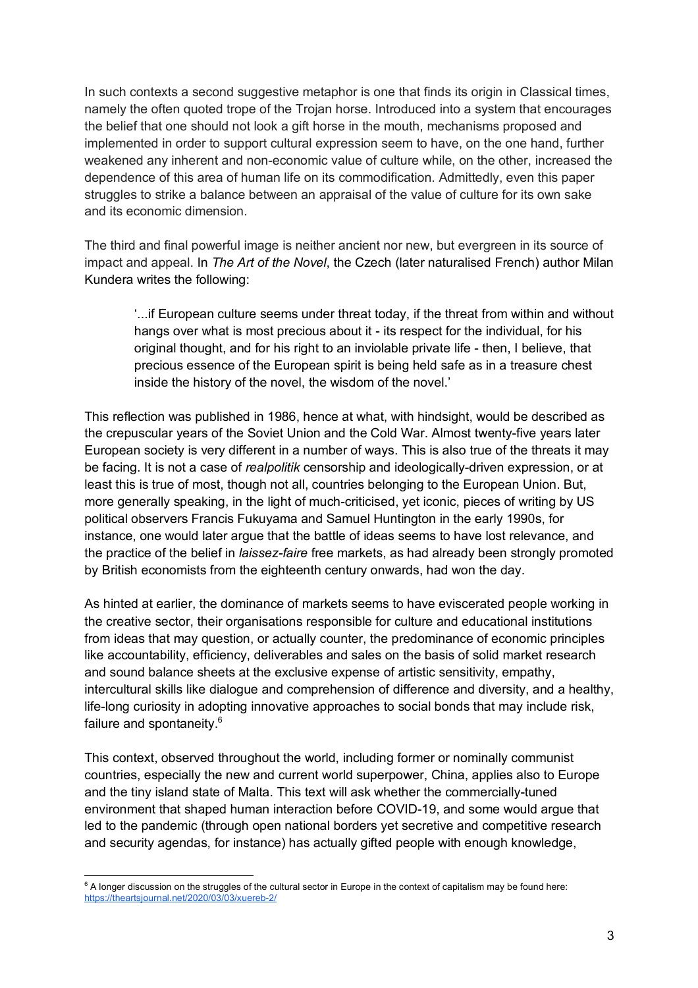In such contexts a second suggestive metaphor is one that finds its origin in Classical times, namely the often quoted trope of the Trojan horse. Introduced into a system that encourages the belief that one should not look a gift horse in the mouth, mechanisms proposed and implemented in order to support cultural expression seem to have, on the one hand, further weakened any inherent and non-economic value of culture while, on the other, increased the dependence of this area of human life on its commodification. Admittedly, even this paper struggles to strike a balance between an appraisal of the value of culture for its own sake and its economic dimension.

The third and final powerful image is neither ancient nor new, but evergreen in its source of impact and appeal. In *The Art of the Novel*, the Czech (later naturalised French) author Milan Kundera writes the following:

'...if European culture seems under threat today, if the threat from within and without hangs over what is most precious about it - its respect for the individual, for his original thought, and for his right to an inviolable private life - then, I believe, that precious essence of the European spirit is being held safe as in a treasure chest inside the history of the novel, the wisdom of the novel.'

This reflection was published in 1986, hence at what, with hindsight, would be described as the crepuscular years of the Soviet Union and the Cold War. Almost twenty-five years later European society is very different in a number of ways. This is also true of the threats it may be facing. It is not a case of *realpolitik* censorship and ideologically-driven expression, or at least this is true of most, though not all, countries belonging to the European Union. But, more generally speaking, in the light of much-criticised, yet iconic, pieces of writing by US political observers Francis Fukuyama and Samuel Huntington in the early 1990s, for instance, one would later argue that the battle of ideas seems to have lost relevance, and the practice of the belief in *laissez-faire* free markets, as had already been strongly promoted by British economists from the eighteenth century onwards, had won the day.

As hinted at earlier, the dominance of markets seems to have eviscerated people working in the creative sector, their organisations responsible for culture and educational institutions from ideas that may question, or actually counter, the predominance of economic principles like accountability, efficiency, deliverables and sales on the basis of solid market research and sound balance sheets at the exclusive expense of artistic sensitivity, empathy, intercultural skills like dialogue and comprehension of difference and diversity, and a healthy, life-long curiosity in adopting innovative approaches to social bonds that may include risk, failure and spontaneity.<sup>6</sup>

This context, observed throughout the world, including former or nominally communist countries, especially the new and current world superpower, China, applies also to Europe and the tiny island state of Malta. This text will ask whether the commercially-tuned environment that shaped human interaction before COVID-19, and some would argue that led to the pandemic (through open national borders yet secretive and competitive research and security agendas, for instance) has actually gifted people with enough knowledge,

 $6$  A longer discussion on the struggles of the cultural sector in Europe in the context of capitalism may be found here: https://theartsjournal.net/2020/03/03/xuereb-2/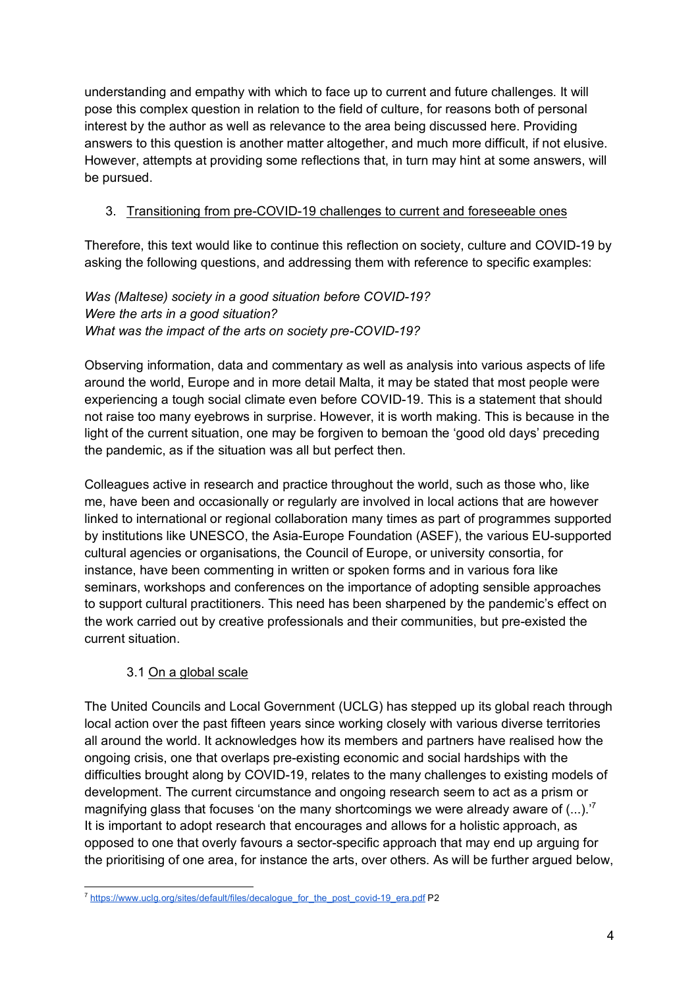understanding and empathy with which to face up to current and future challenges. It will pose this complex question in relation to the field of culture, for reasons both of personal interest by the author as well as relevance to the area being discussed here. Providing answers to this question is another matter altogether, and much more difficult, if not elusive. However, attempts at providing some reflections that, in turn may hint at some answers, will be pursued.

# 3. Transitioning from pre-COVID-19 challenges to current and foreseeable ones

Therefore, this text would like to continue this reflection on society, culture and COVID-19 by asking the following questions, and addressing them with reference to specific examples:

*Was (Maltese) society in a good situation before COVID-19? Were the arts in a good situation? What was the impact of the arts on society pre-COVID-19?*

Observing information, data and commentary as well as analysis into various aspects of life around the world, Europe and in more detail Malta, it may be stated that most people were experiencing a tough social climate even before COVID-19. This is a statement that should not raise too many eyebrows in surprise. However, it is worth making. This is because in the light of the current situation, one may be forgiven to bemoan the 'good old days' preceding the pandemic, as if the situation was all but perfect then.

Colleagues active in research and practice throughout the world, such as those who, like me, have been and occasionally or regularly are involved in local actions that are however linked to international or regional collaboration many times as part of programmes supported by institutions like UNESCO, the Asia-Europe Foundation (ASEF), the various EU-supported cultural agencies or organisations, the Council of Europe, or university consortia, for instance, have been commenting in written or spoken forms and in various fora like seminars, workshops and conferences on the importance of adopting sensible approaches to support cultural practitioners. This need has been sharpened by the pandemic's effect on the work carried out by creative professionals and their communities, but pre-existed the current situation.

# 3.1 On a global scale

The United Councils and Local Government (UCLG) has stepped up its global reach through local action over the past fifteen years since working closely with various diverse territories all around the world. It acknowledges how its members and partners have realised how the ongoing crisis, one that overlaps pre-existing economic and social hardships with the difficulties brought along by COVID-19, relates to the many challenges to existing models of development. The current circumstance and ongoing research seem to act as a prism or magnifying glass that focuses 'on the many shortcomings we were already aware of  $(...).$ <sup>7</sup> It is important to adopt research that encourages and allows for a holistic approach, as opposed to one that overly favours a sector-specific approach that may end up arguing for the prioritising of one area, for instance the arts, over others. As will be further argued below,

<sup>&</sup>lt;sup>7</sup> https://www.uclg.org/sites/default/files/decalogue\_for\_the\_post\_covid-19\_era.pdf P2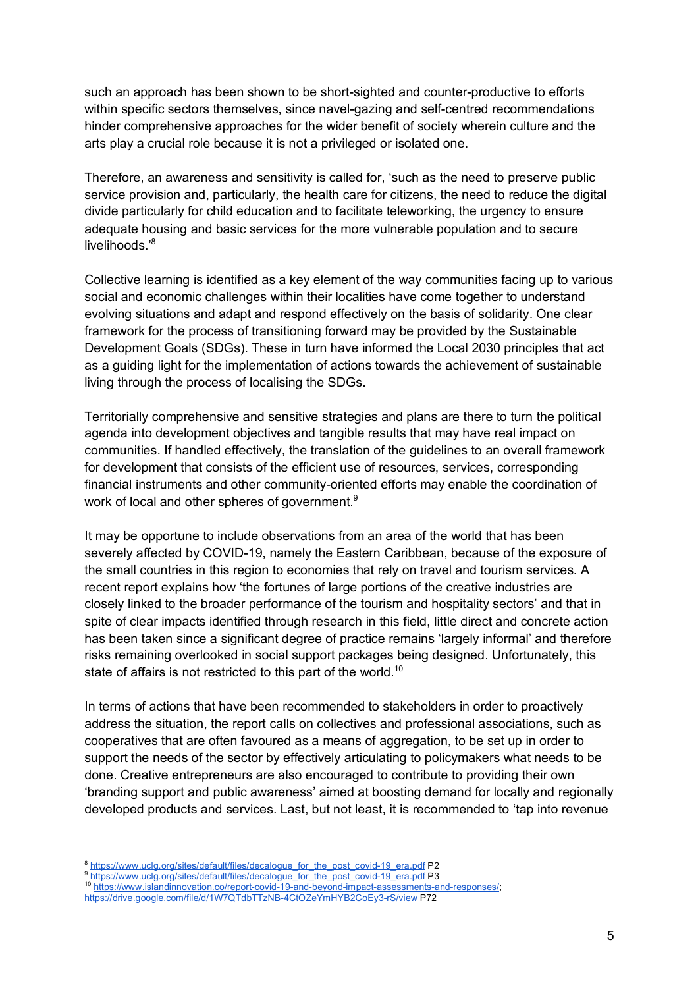such an approach has been shown to be short-sighted and counter-productive to efforts within specific sectors themselves, since navel-gazing and self-centred recommendations hinder comprehensive approaches for the wider benefit of society wherein culture and the arts play a crucial role because it is not a privileged or isolated one.

Therefore, an awareness and sensitivity is called for, 'such as the need to preserve public service provision and, particularly, the health care for citizens, the need to reduce the digital divide particularly for child education and to facilitate teleworking, the urgency to ensure adequate housing and basic services for the more vulnerable population and to secure livelihoods<sup>'8</sup>

Collective learning is identified as a key element of the way communities facing up to various social and economic challenges within their localities have come together to understand evolving situations and adapt and respond effectively on the basis of solidarity. One clear framework for the process of transitioning forward may be provided by the Sustainable Development Goals (SDGs). These in turn have informed the Local 2030 principles that act as a guiding light for the implementation of actions towards the achievement of sustainable living through the process of localising the SDGs.

Territorially comprehensive and sensitive strategies and plans are there to turn the political agenda into development objectives and tangible results that may have real impact on communities. If handled effectively, the translation of the guidelines to an overall framework for development that consists of the efficient use of resources, services, corresponding financial instruments and other community-oriented efforts may enable the coordination of work of local and other spheres of government.<sup>9</sup>

It may be opportune to include observations from an area of the world that has been severely affected by COVID-19, namely the Eastern Caribbean, because of the exposure of the small countries in this region to economies that rely on travel and tourism services. A recent report explains how 'the fortunes of large portions of the creative industries are closely linked to the broader performance of the tourism and hospitality sectors' and that in spite of clear impacts identified through research in this field, little direct and concrete action has been taken since a significant degree of practice remains 'largely informal' and therefore risks remaining overlooked in social support packages being designed. Unfortunately, this state of affairs is not restricted to this part of the world.<sup>10</sup>

In terms of actions that have been recommended to stakeholders in order to proactively address the situation, the report calls on collectives and professional associations, such as cooperatives that are often favoured as a means of aggregation, to be set up in order to support the needs of the sector by effectively articulating to policymakers what needs to be done. Creative entrepreneurs are also encouraged to contribute to providing their own 'branding support and public awareness' aimed at boosting demand for locally and regionally developed products and services. Last, but not least, it is recommended to 'tap into revenue

<sup>&</sup>lt;sup>8</sup> https://www.uclg.org/sites/default/files/decalogue\_for\_the\_post\_covid-19\_era.pdf P2<br><sup>9</sup> https://www.uclg.org/sites/default/files/decalogue\_for\_the\_post\_covid-19\_era.pdf P3

<sup>10</sup> https://www.islandinnovation.co/report-covid-19-and-beyond-impact-assessments-and-responses/;

https://drive.google.com/file/d/1W7QTdbTTzNB-4CtOZeYmHYB2CoEy3-rS/view P72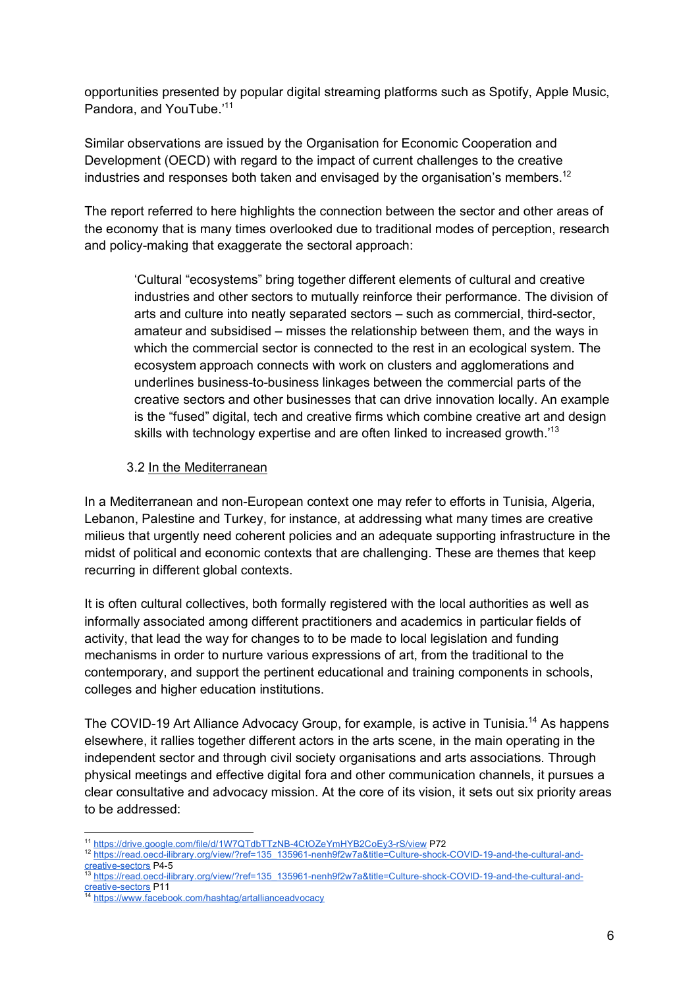opportunities presented by popular digital streaming platforms such as Spotify, Apple Music, Pandora, and YouTube.'11

Similar observations are issued by the Organisation for Economic Cooperation and Development (OECD) with regard to the impact of current challenges to the creative industries and responses both taken and envisaged by the organisation's members.<sup>12</sup>

The report referred to here highlights the connection between the sector and other areas of the economy that is many times overlooked due to traditional modes of perception, research and policy-making that exaggerate the sectoral approach:

'Cultural "ecosystems" bring together different elements of cultural and creative industries and other sectors to mutually reinforce their performance. The division of arts and culture into neatly separated sectors – such as commercial, third-sector, amateur and subsidised – misses the relationship between them, and the ways in which the commercial sector is connected to the rest in an ecological system. The ecosystem approach connects with work on clusters and agglomerations and underlines business-to-business linkages between the commercial parts of the creative sectors and other businesses that can drive innovation locally. An example is the "fused" digital, tech and creative firms which combine creative art and design skills with technology expertise and are often linked to increased growth.<sup>113</sup>

#### 3.2 In the Mediterranean

In a Mediterranean and non-European context one may refer to efforts in Tunisia, Algeria, Lebanon, Palestine and Turkey, for instance, at addressing what many times are creative milieus that urgently need coherent policies and an adequate supporting infrastructure in the midst of political and economic contexts that are challenging. These are themes that keep recurring in different global contexts.

It is often cultural collectives, both formally registered with the local authorities as well as informally associated among different practitioners and academics in particular fields of activity, that lead the way for changes to to be made to local legislation and funding mechanisms in order to nurture various expressions of art, from the traditional to the contemporary, and support the pertinent educational and training components in schools, colleges and higher education institutions.

The COVID-19 Art Alliance Advocacy Group, for example, is active in Tunisia.<sup>14</sup> As happens elsewhere, it rallies together different actors in the arts scene, in the main operating in the independent sector and through civil society organisations and arts associations. Through physical meetings and effective digital fora and other communication channels, it pursues a clear consultative and advocacy mission. At the core of its vision, it sets out six priority areas to be addressed:

 <sup>11</sup> https://drive.google.com/file/d/1W7QTdbTTzNB-4CtOZeYmHYB2CoEy3-rS/view P72

<sup>12</sup> https://read.oecd-ilibrary.org/view/?ref=135\_135961-nenh9f2w7a&title=Culture-shock-COVID-19-and-the-cultural-andcreative-sectors P4-5

<sup>13</sup> https://read.oecd-ilibrary.org/view/?ref=135\_135961-nenh9f2w7a&title=Culture-shock-COVID-19-and-the-cultural-andcreative-sectors P11

https://www.facebook.com/hashtag/artallianceadvocacy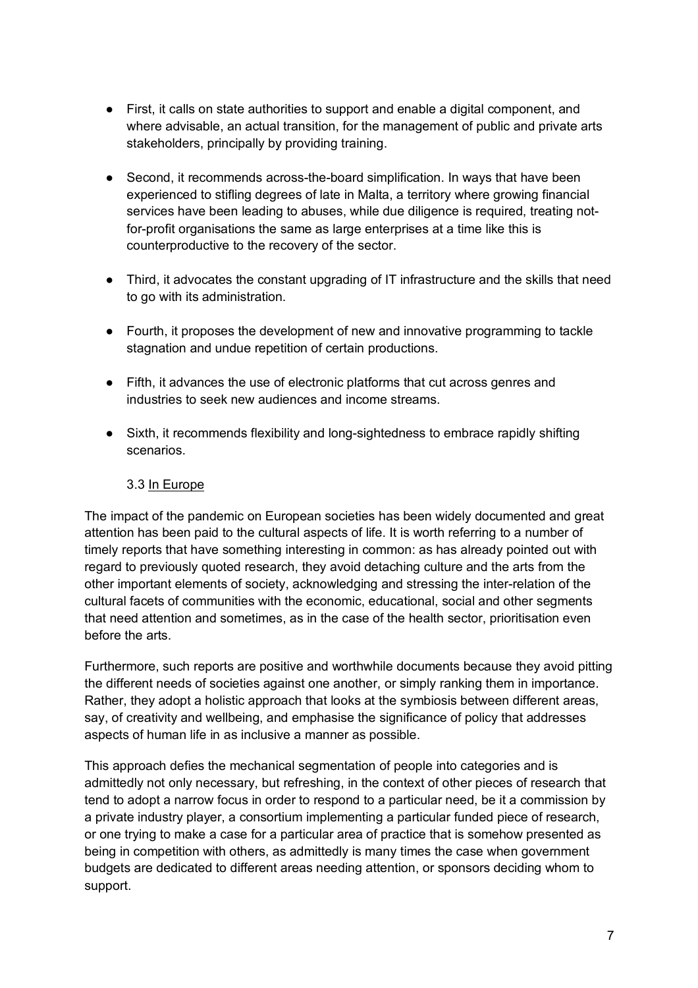- First, it calls on state authorities to support and enable a digital component, and where advisable, an actual transition, for the management of public and private arts stakeholders, principally by providing training.
- Second, it recommends across-the-board simplification. In ways that have been experienced to stifling degrees of late in Malta, a territory where growing financial services have been leading to abuses, while due diligence is required, treating notfor-profit organisations the same as large enterprises at a time like this is counterproductive to the recovery of the sector.
- Third, it advocates the constant upgrading of IT infrastructure and the skills that need to go with its administration.
- Fourth, it proposes the development of new and innovative programming to tackle stagnation and undue repetition of certain productions.
- Fifth, it advances the use of electronic platforms that cut across genres and industries to seek new audiences and income streams.
- Sixth, it recommends flexibility and long-sightedness to embrace rapidly shifting scenarios.

## 3.3 In Europe

The impact of the pandemic on European societies has been widely documented and great attention has been paid to the cultural aspects of life. It is worth referring to a number of timely reports that have something interesting in common: as has already pointed out with regard to previously quoted research, they avoid detaching culture and the arts from the other important elements of society, acknowledging and stressing the inter-relation of the cultural facets of communities with the economic, educational, social and other segments that need attention and sometimes, as in the case of the health sector, prioritisation even before the arts.

Furthermore, such reports are positive and worthwhile documents because they avoid pitting the different needs of societies against one another, or simply ranking them in importance. Rather, they adopt a holistic approach that looks at the symbiosis between different areas, say, of creativity and wellbeing, and emphasise the significance of policy that addresses aspects of human life in as inclusive a manner as possible.

This approach defies the mechanical segmentation of people into categories and is admittedly not only necessary, but refreshing, in the context of other pieces of research that tend to adopt a narrow focus in order to respond to a particular need, be it a commission by a private industry player, a consortium implementing a particular funded piece of research, or one trying to make a case for a particular area of practice that is somehow presented as being in competition with others, as admittedly is many times the case when government budgets are dedicated to different areas needing attention, or sponsors deciding whom to support.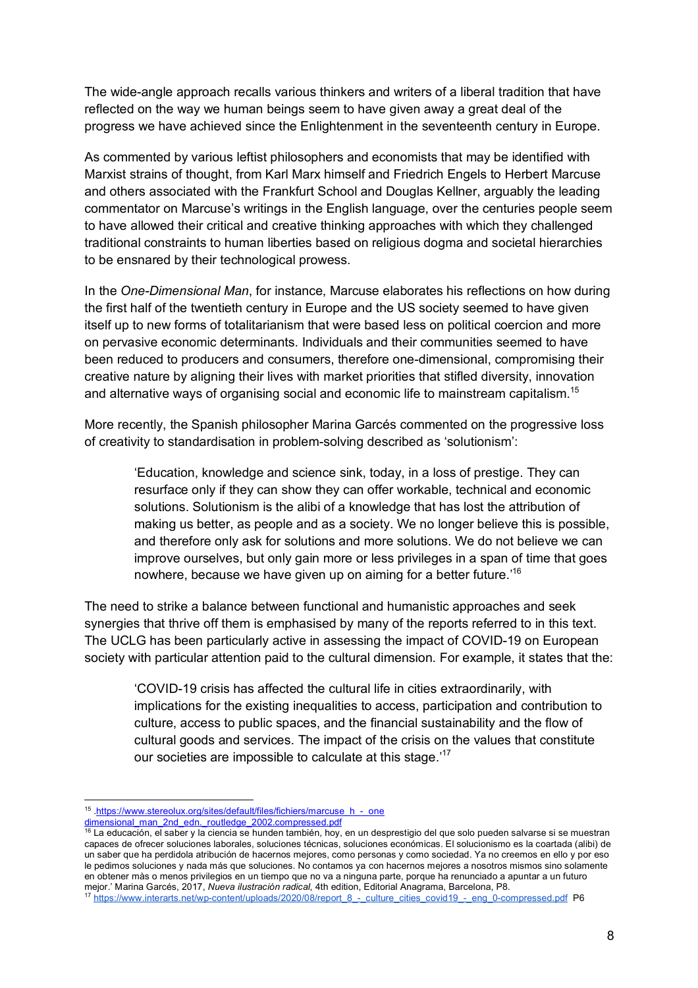The wide-angle approach recalls various thinkers and writers of a liberal tradition that have reflected on the way we human beings seem to have given away a great deal of the progress we have achieved since the Enlightenment in the seventeenth century in Europe.

As commented by various leftist philosophers and economists that may be identified with Marxist strains of thought, from Karl Marx himself and Friedrich Engels to Herbert Marcuse and others associated with the Frankfurt School and Douglas Kellner, arguably the leading commentator on Marcuse's writings in the English language, over the centuries people seem to have allowed their critical and creative thinking approaches with which they challenged traditional constraints to human liberties based on religious dogma and societal hierarchies to be ensnared by their technological prowess.

In the *One-Dimensional Man*, for instance, Marcuse elaborates his reflections on how during the first half of the twentieth century in Europe and the US society seemed to have given itself up to new forms of totalitarianism that were based less on political coercion and more on pervasive economic determinants. Individuals and their communities seemed to have been reduced to producers and consumers, therefore one-dimensional, compromising their creative nature by aligning their lives with market priorities that stifled diversity, innovation and alternative ways of organising social and economic life to mainstream capitalism.<sup>15</sup>

More recently, the Spanish philosopher Marina Garcés commented on the progressive loss of creativity to standardisation in problem-solving described as 'solutionism':

'Education, knowledge and science sink, today, in a loss of prestige. They can resurface only if they can show they can offer workable, technical and economic solutions. Solutionism is the alibi of a knowledge that has lost the attribution of making us better, as people and as a society. We no longer believe this is possible, and therefore only ask for solutions and more solutions. We do not believe we can improve ourselves, but only gain more or less privileges in a span of time that goes nowhere, because we have given up on aiming for a better future.<sup>'16</sup>

The need to strike a balance between functional and humanistic approaches and seek synergies that thrive off them is emphasised by many of the reports referred to in this text. The UCLG has been particularly active in assessing the impact of COVID-19 on European society with particular attention paid to the cultural dimension. For example, it states that the:

'COVID-19 crisis has affected the cultural life in cities extraordinarily, with implications for the existing inequalities to access, participation and contribution to culture, access to public spaces, and the financial sustainability and the flow of cultural goods and services. The impact of the crisis on the values that constitute our societies are impossible to calculate at this stage.'<sup>17</sup>

<sup>15 .</sup>https://www.stereolux.org/sites/default/files/fichiers/marcuse\_h\_-\_one

dimensional\_man\_2nd\_edn.\_routledge\_2002.compressed.pdf

 $^{16}$  La educación, el saber y la ciencia se hunden también, hoy, en un desprestigio del que solo pueden salvarse si se muestran capaces de ofrecer soluciones laborales, soluciones técnicas, soluciones económicas. El solucionismo es la coartada (alibi) de un saber que ha perdidola atribución de hacernos mejores, como personas y como sociedad. Ya no creemos en ello y por eso le pedimos soluciones y nada más que soluciones. No contamos ya con hacernos mejores a nosotros mismos sino solamente en obtener màs o menos privilegios en un tiempo que no va a ninguna parte, porque ha renunciado a apuntar a un futuro mejor.' Marina Garcés, 2017, *Nueva ilustración radical*, 4th edition, Editorial Anagrama, Barcelona, P8.

<sup>&</sup>lt;sup>17</sup> https://www.interarts.net/wp-content/uploads/2020/08/report\_8\_-\_culture\_cities\_covid19\_-\_eng\_0-compressed.pdf P6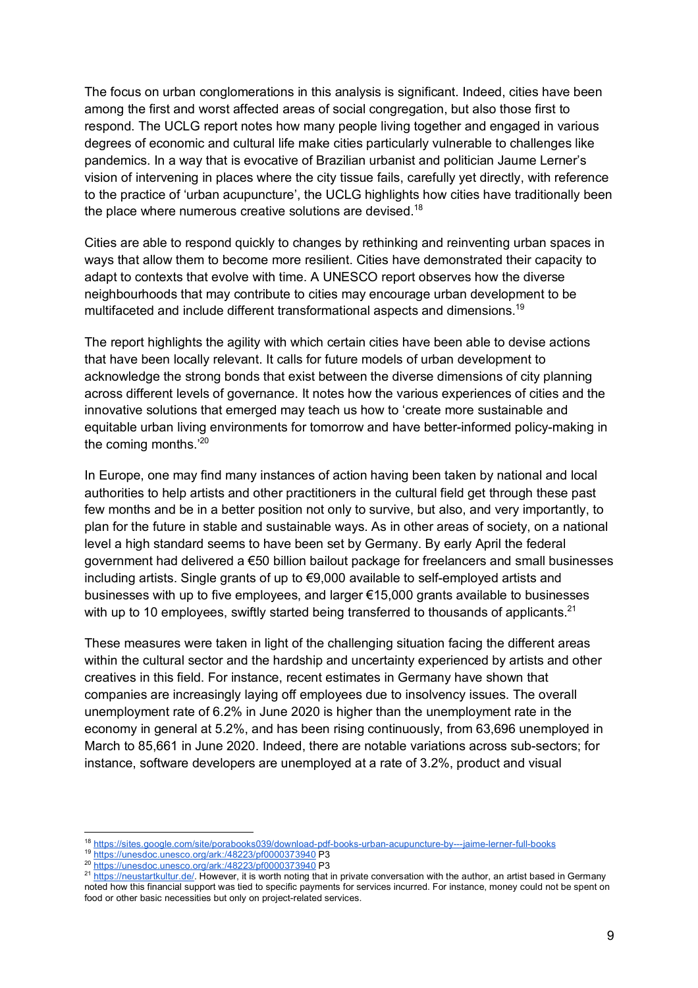The focus on urban conglomerations in this analysis is significant. Indeed, cities have been among the first and worst affected areas of social congregation, but also those first to respond. The UCLG report notes how many people living together and engaged in various degrees of economic and cultural life make cities particularly vulnerable to challenges like pandemics. In a way that is evocative of Brazilian urbanist and politician Jaume Lerner's vision of intervening in places where the city tissue fails, carefully yet directly, with reference to the practice of 'urban acupuncture', the UCLG highlights how cities have traditionally been the place where numerous creative solutions are devised.<sup>18</sup>

Cities are able to respond quickly to changes by rethinking and reinventing urban spaces in ways that allow them to become more resilient. Cities have demonstrated their capacity to adapt to contexts that evolve with time. A UNESCO report observes how the diverse neighbourhoods that may contribute to cities may encourage urban development to be multifaceted and include different transformational aspects and dimensions.<sup>19</sup>

The report highlights the agility with which certain cities have been able to devise actions that have been locally relevant. It calls for future models of urban development to acknowledge the strong bonds that exist between the diverse dimensions of city planning across different levels of governance. It notes how the various experiences of cities and the innovative solutions that emerged may teach us how to 'create more sustainable and equitable urban living environments for tomorrow and have better-informed policy-making in the coming months.'20

In Europe, one may find many instances of action having been taken by national and local authorities to help artists and other practitioners in the cultural field get through these past few months and be in a better position not only to survive, but also, and very importantly, to plan for the future in stable and sustainable ways. As in other areas of society, on a national level a high standard seems to have been set by Germany. By early April the federal government had delivered a €50 billion bailout package for freelancers and small businesses including artists. Single grants of up to €9,000 available to self-employed artists and businesses with up to five employees, and larger €15,000 grants available to businesses with up to 10 employees, swiftly started being transferred to thousands of applicants.<sup>21</sup>

These measures were taken in light of the challenging situation facing the different areas within the cultural sector and the hardship and uncertainty experienced by artists and other creatives in this field. For instance, recent estimates in Germany have shown that companies are increasingly laying off employees due to insolvency issues. The overall unemployment rate of 6.2% in June 2020 is higher than the unemployment rate in the economy in general at 5.2%, and has been rising continuously, from 63,696 unemployed in March to 85,661 in June 2020. Indeed, there are notable variations across sub-sectors; for instance, software developers are unemployed at a rate of 3.2%, product and visual

<sup>18</sup> https://sites.google.com/site/porabooks039/download-pdf-books-urban-acupuncture-by---jaime-lerner-full-books<br>19 https://unesdoc.unesco.org/ark:/48223/pf0000373940 P3

<sup>20&</sup>lt;br>https://unesdoc.unesco.org/ark:/48223/pf0000373940 P3<br>21 https://neustartkultur.de/. However, it is worth noting that in private conversation with the author, an artist based in Germany noted how this financial support was tied to specific payments for services incurred. For instance, money could not be spent on food or other basic necessities but only on project-related services.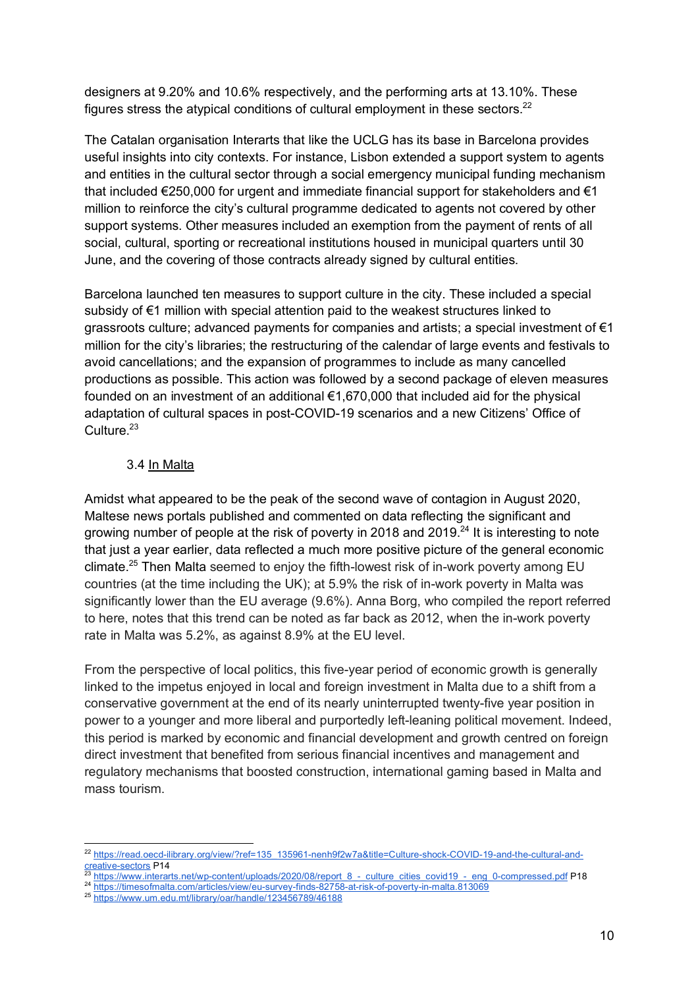designers at 9.20% and 10.6% respectively, and the performing arts at 13.10%. These figures stress the atypical conditions of cultural employment in these sectors. $22$ 

The Catalan organisation Interarts that like the UCLG has its base in Barcelona provides useful insights into city contexts. For instance, Lisbon extended a support system to agents and entities in the cultural sector through a social emergency municipal funding mechanism that included  $\epsilon$ 250,000 for urgent and immediate financial support for stakeholders and  $\epsilon$ 1 million to reinforce the city's cultural programme dedicated to agents not covered by other support systems. Other measures included an exemption from the payment of rents of all social, cultural, sporting or recreational institutions housed in municipal quarters until 30 June, and the covering of those contracts already signed by cultural entities.

Barcelona launched ten measures to support culture in the city. These included a special subsidy of €1 million with special attention paid to the weakest structures linked to grassroots culture; advanced payments for companies and artists; a special investment of  $\epsilon_1$ million for the city's libraries; the restructuring of the calendar of large events and festivals to avoid cancellations; and the expansion of programmes to include as many cancelled productions as possible. This action was followed by a second package of eleven measures founded on an investment of an additional €1,670,000 that included aid for the physical adaptation of cultural spaces in post-COVID-19 scenarios and a new Citizens' Office of Culture.<sup>23</sup>

## 3.4 In Malta

Amidst what appeared to be the peak of the second wave of contagion in August 2020, Maltese news portals published and commented on data reflecting the significant and growing number of people at the risk of poverty in 2018 and 2019.<sup>24</sup> It is interesting to note that just a year earlier, data reflected a much more positive picture of the general economic climate.<sup>25</sup> Then Malta seemed to enjoy the fifth-lowest risk of in-work poverty among EU countries (at the time including the UK); at 5.9% the risk of in-work poverty in Malta was significantly lower than the EU average (9.6%). Anna Borg, who compiled the report referred to here, notes that this trend can be noted as far back as 2012, when the in-work poverty rate in Malta was 5.2%, as against 8.9% at the EU level.

From the perspective of local politics, this five-year period of economic growth is generally linked to the impetus enjoyed in local and foreign investment in Malta due to a shift from a conservative government at the end of its nearly uninterrupted twenty-five year position in power to a younger and more liberal and purportedly left-leaning political movement. Indeed, this period is marked by economic and financial development and growth centred on foreign direct investment that benefited from serious financial incentives and management and regulatory mechanisms that boosted construction, international gaming based in Malta and mass tourism.

https://www.interarts.net/wp-content/uploads/2020/08/report\_8\_-\_culture\_cities\_covid19\_-\_eng\_0-compressed.pdf P18

 <sup>22</sup> https://read.oecd-ilibrary.org/view/?ref=135\_135961-nenh9f2w7a&title=Culture-shock-COVID-19-and-the-cultural-andcreative-sectors P14

<sup>24</sup> https://timesofmalta.com/articles/view/eu-survey-finds-82758-at-risk-of-poverty-in-malta.813069

<sup>25</sup> https://www.um.edu.mt/library/oar/handle/123456789/46188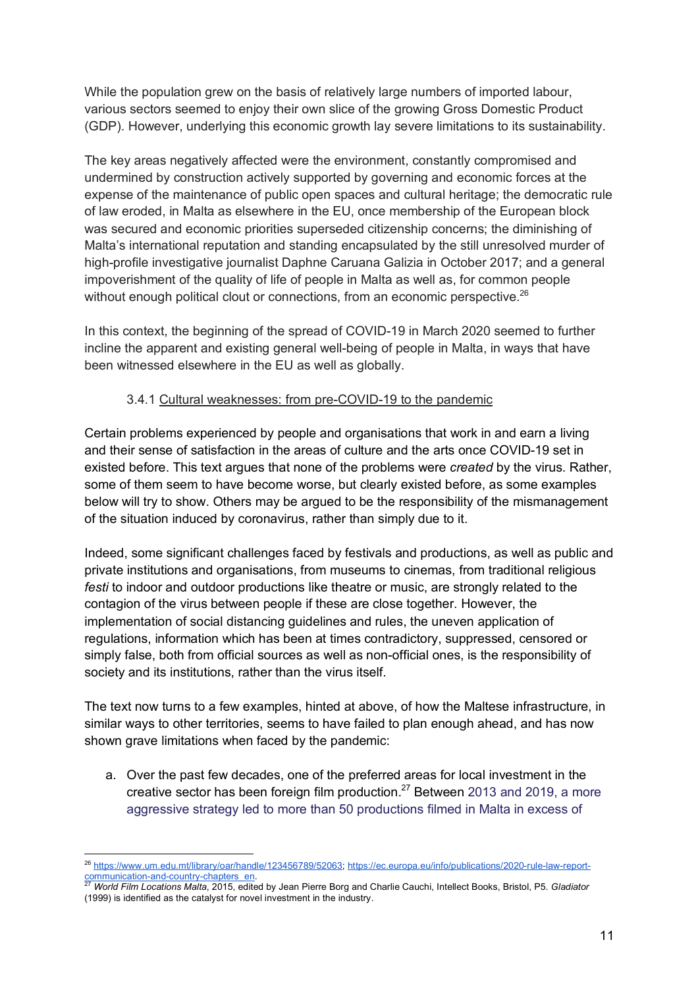While the population grew on the basis of relatively large numbers of imported labour, various sectors seemed to enjoy their own slice of the growing Gross Domestic Product (GDP). However, underlying this economic growth lay severe limitations to its sustainability.

The key areas negatively affected were the environment, constantly compromised and undermined by construction actively supported by governing and economic forces at the expense of the maintenance of public open spaces and cultural heritage; the democratic rule of law eroded, in Malta as elsewhere in the EU, once membership of the European block was secured and economic priorities superseded citizenship concerns; the diminishing of Malta's international reputation and standing encapsulated by the still unresolved murder of high-profile investigative journalist Daphne Caruana Galizia in October 2017; and a general impoverishment of the quality of life of people in Malta as well as, for common people without enough political clout or connections, from an economic perspective.<sup>26</sup>

In this context, the beginning of the spread of COVID-19 in March 2020 seemed to further incline the apparent and existing general well-being of people in Malta, in ways that have been witnessed elsewhere in the EU as well as globally.

## 3.4.1 Cultural weaknesses: from pre-COVID-19 to the pandemic

Certain problems experienced by people and organisations that work in and earn a living and their sense of satisfaction in the areas of culture and the arts once COVID-19 set in existed before. This text argues that none of the problems were *created* by the virus. Rather, some of them seem to have become worse, but clearly existed before, as some examples below will try to show. Others may be argued to be the responsibility of the mismanagement of the situation induced by coronavirus, rather than simply due to it.

Indeed, some significant challenges faced by festivals and productions, as well as public and private institutions and organisations, from museums to cinemas, from traditional religious *festi* to indoor and outdoor productions like theatre or music, are strongly related to the contagion of the virus between people if these are close together. However, the implementation of social distancing guidelines and rules, the uneven application of regulations, information which has been at times contradictory, suppressed, censored or simply false, both from official sources as well as non-official ones, is the responsibility of society and its institutions, rather than the virus itself.

The text now turns to a few examples, hinted at above, of how the Maltese infrastructure, in similar ways to other territories, seems to have failed to plan enough ahead, and has now shown grave limitations when faced by the pandemic:

a. Over the past few decades, one of the preferred areas for local investment in the creative sector has been foreign film production.27 Between 2013 and 2019, a more aggressive strategy led to more than 50 productions filmed in Malta in excess of

 <sup>26</sup> https://www.um.edu.mt/library/oar/handle/123456789/52063; https://ec.europa.eu/info/publications/2020-rule-law-reportcommunication-and-country-chapters\_en. 27 *World Film Locations Malta*, 2015, edited by Jean Pierre Borg and Charlie Cauchi, Intellect Books, Bristol, P5. *Gladiator*

<sup>(1999)</sup> is identified as the catalyst for novel investment in the industry.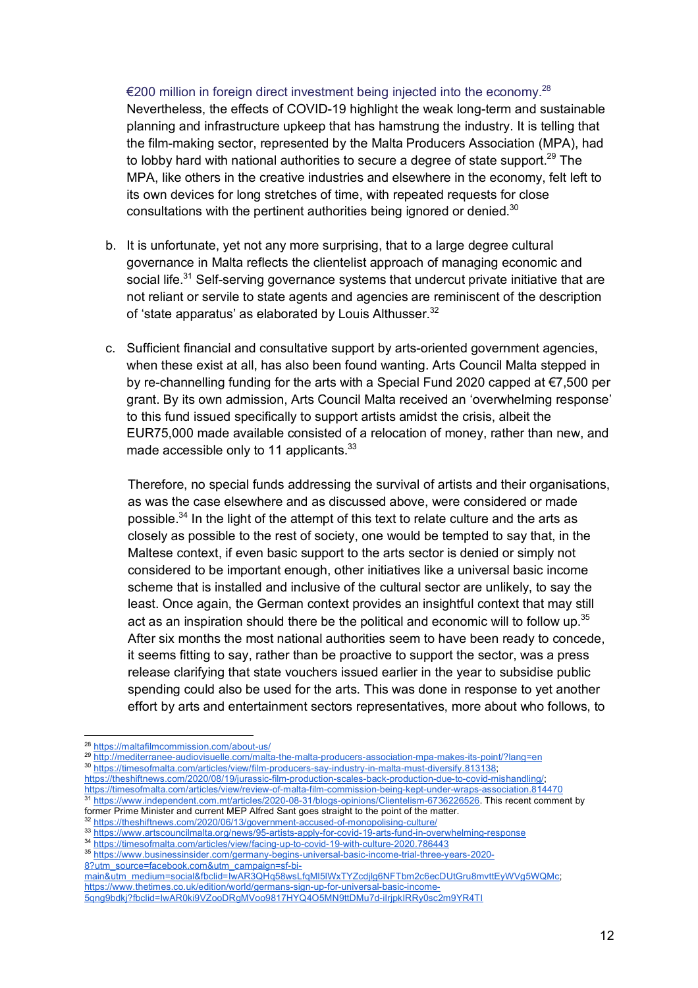€200 million in foreign direct investment being injected into the economy.<sup>28</sup> Nevertheless, the effects of COVID-19 highlight the weak long-term and sustainable planning and infrastructure upkeep that has hamstrung the industry. It is telling that the film-making sector, represented by the Malta Producers Association (MPA), had to lobby hard with national authorities to secure a degree of state support.<sup>29</sup> The MPA, like others in the creative industries and elsewhere in the economy, felt left to its own devices for long stretches of time, with repeated requests for close consultations with the pertinent authorities being ignored or denied.<sup>30</sup>

- b. It is unfortunate, yet not any more surprising, that to a large degree cultural governance in Malta reflects the clientelist approach of managing economic and social life.<sup>31</sup> Self-serving governance systems that undercut private initiative that are not reliant or servile to state agents and agencies are reminiscent of the description of 'state apparatus' as elaborated by Louis Althusser.<sup>32</sup>
- c. Sufficient financial and consultative support by arts-oriented government agencies, when these exist at all, has also been found wanting. Arts Council Malta stepped in by re-channelling funding for the arts with a Special Fund 2020 capped at €7,500 per grant. By its own admission, Arts Council Malta received an 'overwhelming response' to this fund issued specifically to support artists amidst the crisis, albeit the EUR75,000 made available consisted of a relocation of money, rather than new, and made accessible only to 11 applicants.<sup>33</sup>

Therefore, no special funds addressing the survival of artists and their organisations, as was the case elsewhere and as discussed above, were considered or made possible.<sup>34</sup> In the light of the attempt of this text to relate culture and the arts as closely as possible to the rest of society, one would be tempted to say that, in the Maltese context, if even basic support to the arts sector is denied or simply not considered to be important enough, other initiatives like a universal basic income scheme that is installed and inclusive of the cultural sector are unlikely, to say the least. Once again, the German context provides an insightful context that may still act as an inspiration should there be the political and economic will to follow up. $35$ After six months the most national authorities seem to have been ready to concede, it seems fitting to say, rather than be proactive to support the sector, was a press release clarifying that state vouchers issued earlier in the year to subsidise public spending could also be used for the arts. This was done in response to yet another effort by arts and entertainment sectors representatives, more about who follows, to

- https://theshiftnews.com/2020/08/19/jurassic-film-production-scales-back-production-due-to-covid-mishandling/; https://timesofmalta.com/articles/view/review-of-malta-film-commission-being-kept-under-wraps-association.814470 <sup>31</sup> https://www.independent.com.mt/articles/2020-08-31/blogs-opinions/Clientelism-6736226526. This recent comment by former Prime Minister and current MEP Alfred Sant goes straight to the point of the matter.
- <sup>32</sup> https://theshiftnews.com/2020/06/13/government-accused-of-monopolising-culture/

main&utm\_medium=social&fbclid=IwAR3QHq58wsLfqMl5lWxTYZcdjlg6NFTbm2c6ecDUtGru8mvttEyWVg5WQMc; https://www.thetimes.co.uk/edition/world/germans-sign-up-for-universal-basic-income-

 <sup>28</sup> https://maltafilmcommission.com/about-us/

<sup>29</sup> http://mediterranee-audiovisuelle.com/malta-the-malta-producers-association-mpa-makes-its-point/?lang=en

<sup>30</sup> https://timesofmalta.com/articles/view/film-producers-say-industry-in-malta-must-diversify.813138;

<sup>33</sup> https://www.artscouncilmalta.org/news/95-artists-apply-for-covid-19-arts-fund-in-overwhelming-response

<sup>34</sup> https://timesofmalta.com/articles/view/facing-up-to-covid-19-with-culture-2020.786443

<sup>35</sup> https://www.businessinsider.com/germany-begins-universal-basic-income-trial-three-years-2020- 8?utm\_source=facebook.com&utm\_campaign=sf-bi-

<sup>5</sup>qng9bdkj?fbclid=IwAR0ki9VZooDRgMVoo9817HYQ4O5MN9ttDMu7d-iIrjpkIRRy0sc2m9YR4TI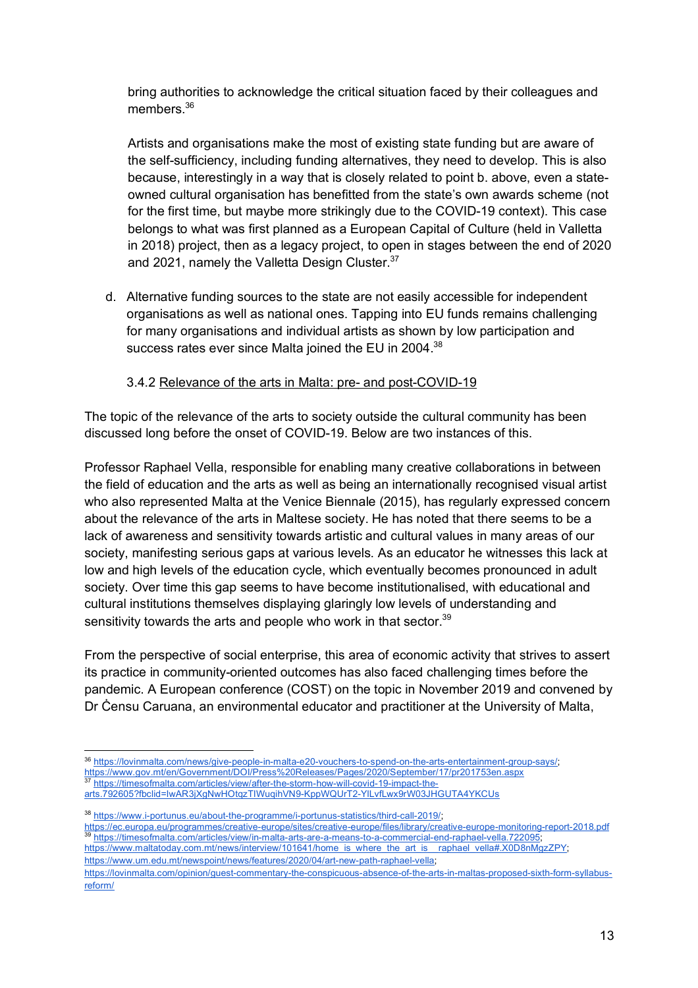bring authorities to acknowledge the critical situation faced by their colleagues and members<sup>36</sup>

Artists and organisations make the most of existing state funding but are aware of the self-sufficiency, including funding alternatives, they need to develop. This is also because, interestingly in a way that is closely related to point b. above, even a stateowned cultural organisation has benefitted from the state's own awards scheme (not for the first time, but maybe more strikingly due to the COVID-19 context). This case belongs to what was first planned as a European Capital of Culture (held in Valletta in 2018) project, then as a legacy project, to open in stages between the end of 2020 and 2021, namely the Valletta Design Cluster.<sup>37</sup>

d. Alternative funding sources to the state are not easily accessible for independent organisations as well as national ones. Tapping into EU funds remains challenging for many organisations and individual artists as shown by low participation and success rates ever since Malta joined the EU in 2004.<sup>38</sup>

#### 3.4.2 Relevance of the arts in Malta: pre- and post-COVID-19

The topic of the relevance of the arts to society outside the cultural community has been discussed long before the onset of COVID-19. Below are two instances of this.

Professor Raphael Vella, responsible for enabling many creative collaborations in between the field of education and the arts as well as being an internationally recognised visual artist who also represented Malta at the Venice Biennale (2015), has regularly expressed concern about the relevance of the arts in Maltese society. He has noted that there seems to be a lack of awareness and sensitivity towards artistic and cultural values in many areas of our society, manifesting serious gaps at various levels. As an educator he witnesses this lack at low and high levels of the education cycle, which eventually becomes pronounced in adult society. Over time this gap seems to have become institutionalised, with educational and cultural institutions themselves displaying glaringly low levels of understanding and sensitivity towards the arts and people who work in that sector.<sup>39</sup>

From the perspective of social enterprise, this area of economic activity that strives to assert its practice in community-oriented outcomes has also faced challenging times before the pandemic. A European conference (COST) on the topic in November 2019 and convened by Dr Ċensu Caruana, an environmental educator and practitioner at the University of Malta,

 <sup>36</sup> https://lovinmalta.com/news/give-people-in-malta-e20-vouchers-to-spend-on-the-arts-entertainment-group-says/;

https://www.gov.mt/en/Government/DOI/Press%20Releases/Pages/2020/September/17/pr201753en.aspx

https://timesofmalta.com/articles/view/after-the-storm-how-will-covid-19-impact-thearts.792605?fbclid=IwAR3jXgNwHOtqzTIWuqihVN9-KppWQUrT2-YlLvfLwx9rW03JHGUTA4YKCUs

<sup>&</sup>lt;sup>38</sup> https://www.i-portunus.eu/about-the-programme/i-portunus-statistics/third-call-2019/;

https://ec.europa.eu/programmes/creative-europe/sites/creative-europe/files/library/creative-europe-monitoring-report-2018.pdf<br>39 https://timeoof.malta\_examines/creative-europe/sites/creative-europe/files/library/creative-<sup>39</sup> https://timesofmalta.com/articles/view/in-malta-arts-are-a-means-to-a-commercial-end-raphael-vella.722095;

https://www.maltatoday.com.mt/news/interview/101641/home\_is\_where\_the\_art\_is\_\_raphael\_vella#.X0D8nMgzZPY; https://www.um.edu.mt/newspoint/news/features/2020/04/art-new-path-raphael-vella;

https://lovinmalta.com/opinion/guest-commentary-the-conspicuous-absence-of-the-arts-in-maltas-proposed-sixth-form-syllabusreform/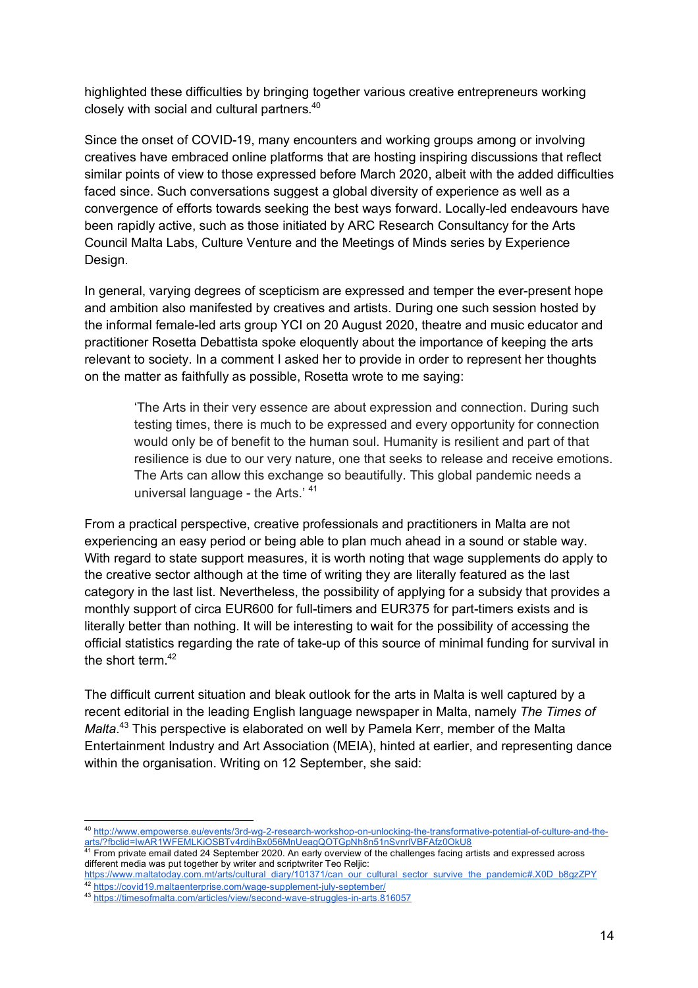highlighted these difficulties by bringing together various creative entrepreneurs working closely with social and cultural partners.40

Since the onset of COVID-19, many encounters and working groups among or involving creatives have embraced online platforms that are hosting inspiring discussions that reflect similar points of view to those expressed before March 2020, albeit with the added difficulties faced since. Such conversations suggest a global diversity of experience as well as a convergence of efforts towards seeking the best ways forward. Locally-led endeavours have been rapidly active, such as those initiated by ARC Research Consultancy for the Arts Council Malta Labs, Culture Venture and the Meetings of Minds series by Experience Design.

In general, varying degrees of scepticism are expressed and temper the ever-present hope and ambition also manifested by creatives and artists. During one such session hosted by the informal female-led arts group YCI on 20 August 2020, theatre and music educator and practitioner Rosetta Debattista spoke eloquently about the importance of keeping the arts relevant to society. In a comment I asked her to provide in order to represent her thoughts on the matter as faithfully as possible, Rosetta wrote to me saying:

'The Arts in their very essence are about expression and connection. During such testing times, there is much to be expressed and every opportunity for connection would only be of benefit to the human soul. Humanity is resilient and part of that resilience is due to our very nature, one that seeks to release and receive emotions. The Arts can allow this exchange so beautifully. This global pandemic needs a universal language - the Arts.' <sup>41</sup>

From a practical perspective, creative professionals and practitioners in Malta are not experiencing an easy period or being able to plan much ahead in a sound or stable way. With regard to state support measures, it is worth noting that wage supplements do apply to the creative sector although at the time of writing they are literally featured as the last category in the last list. Nevertheless, the possibility of applying for a subsidy that provides a monthly support of circa EUR600 for full-timers and EUR375 for part-timers exists and is literally better than nothing. It will be interesting to wait for the possibility of accessing the official statistics regarding the rate of take-up of this source of minimal funding for survival in the short term. $42$ 

The difficult current situation and bleak outlook for the arts in Malta is well captured by a recent editorial in the leading English language newspaper in Malta, namely *The Times of Malta.*<sup>43</sup> This perspective is elaborated on well by Pamela Kerr, member of the Malta Entertainment Industry and Art Association (MEIA), hinted at earlier, and representing dance within the organisation. Writing on 12 September, she said:

 <sup>40</sup> http://www.empowerse.eu/events/3rd-wg-2-research-workshop-on-unlocking-the-transformative-potential-of-culture-and-thearts/?fbclid=IwAR1WFEMLKiOSBTv4rdihBx056MnUeagQOTGpNh8n51nSvnrlVBFAfz0OkU8

 $41$  From private email dated 24 September 2020. An early overview of the challenges facing artists and expressed across different media was put together by writer and scriptwriter Teo Reljic:

https://www.maltatoday.com.mt/arts/cultural\_diary/101371/can\_our\_cultural\_sector\_survive\_the\_pandemic#.X0D\_b8gzZPY <sup>42</sup> https://covid19.maltaenterprise.com/wage-supplement-july-september/

<sup>43</sup> https://timesofmalta.com/articles/view/second-wave-struggles-in-arts.816057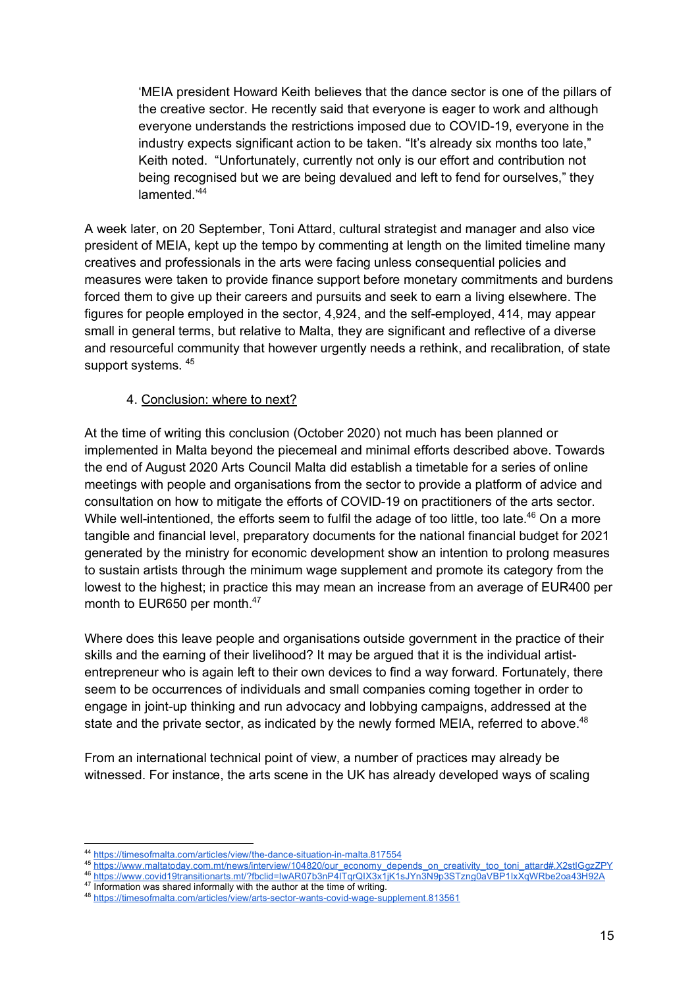'MEIA president Howard Keith believes that the dance sector is one of the pillars of the creative sector. He recently said that everyone is eager to work and although everyone understands the restrictions imposed due to COVID-19, everyone in the industry expects significant action to be taken. "It's already six months too late," Keith noted. "Unfortunately, currently not only is our effort and contribution not being recognised but we are being devalued and left to fend for ourselves," they lamented.'44

A week later, on 20 September, Toni Attard, cultural strategist and manager and also vice president of MEIA, kept up the tempo by commenting at length on the limited timeline many creatives and professionals in the arts were facing unless consequential policies and measures were taken to provide finance support before monetary commitments and burdens forced them to give up their careers and pursuits and seek to earn a living elsewhere. The figures for people employed in the sector, 4,924, and the self-employed, 414, may appear small in general terms, but relative to Malta, they are significant and reflective of a diverse and resourceful community that however urgently needs a rethink, and recalibration, of state support systems. 45

#### 4. Conclusion: where to next?

At the time of writing this conclusion (October 2020) not much has been planned or implemented in Malta beyond the piecemeal and minimal efforts described above. Towards the end of August 2020 Arts Council Malta did establish a timetable for a series of online meetings with people and organisations from the sector to provide a platform of advice and consultation on how to mitigate the efforts of COVID-19 on practitioners of the arts sector. While well-intentioned, the efforts seem to fulfil the adage of too little, too late.<sup>46</sup> On a more tangible and financial level, preparatory documents for the national financial budget for 2021 generated by the ministry for economic development show an intention to prolong measures to sustain artists through the minimum wage supplement and promote its category from the lowest to the highest; in practice this may mean an increase from an average of EUR400 per month to EUR650 per month.<sup>47</sup>

Where does this leave people and organisations outside government in the practice of their skills and the earning of their livelihood? It may be argued that it is the individual artistentrepreneur who is again left to their own devices to find a way forward. Fortunately, there seem to be occurrences of individuals and small companies coming together in order to engage in joint-up thinking and run advocacy and lobbying campaigns, addressed at the state and the private sector, as indicated by the newly formed MEIA, referred to above. $48$ 

From an international technical point of view, a number of practices may already be witnessed. For instance, the arts scene in the UK has already developed ways of scaling

 <sup>44</sup> https://timesofmalta.com/articles/view/the-dance-situation-in-malta.817554

<sup>45</sup> https://www.maltatoday.com.mt/news/interview/104820/our\_economy\_depends\_on\_creativity\_too\_toni\_attard#.X2stIGgzZPY

<sup>46</sup> https://www.covid19transitionarts.mt/?fbclid=IwAR07b3nP4ITqrQIX3x1jK1sJYn3N9p3STzng0aVBP1IxXqWRbe2oa43H92A

<sup>&</sup>lt;sup>47</sup> Information was shared informally with the author at the time of writing.

<sup>48</sup> https://timesofmalta.com/articles/view/arts-sector-wants-covid-wage-supplement.813561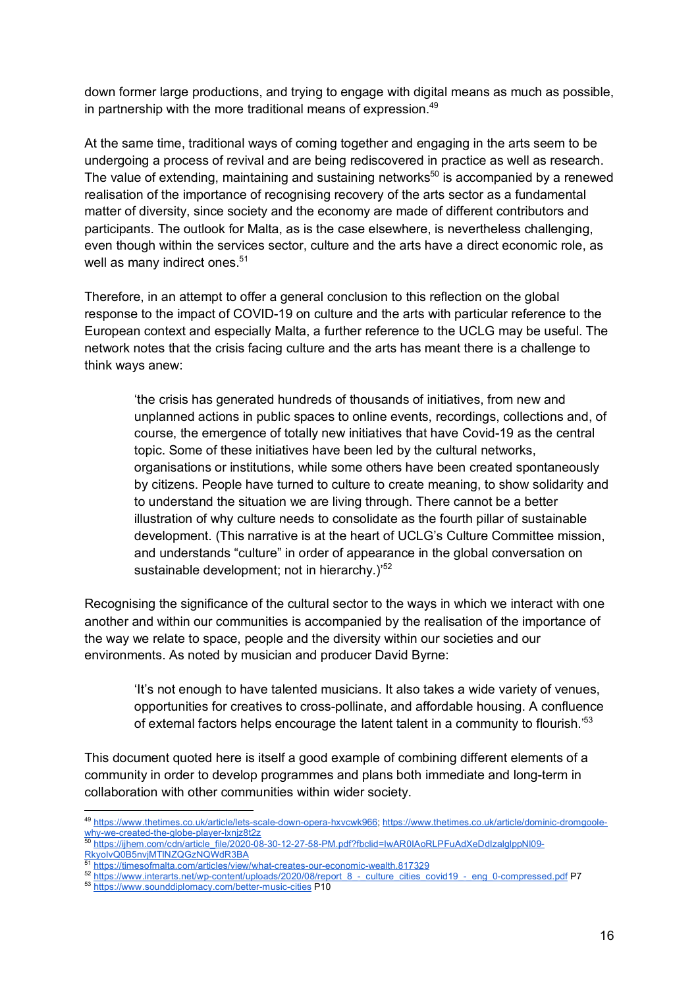down former large productions, and trying to engage with digital means as much as possible, in partnership with the more traditional means of expression. $49$ 

At the same time, traditional ways of coming together and engaging in the arts seem to be undergoing a process of revival and are being rediscovered in practice as well as research. The value of extending, maintaining and sustaining networks<sup>50</sup> is accompanied by a renewed realisation of the importance of recognising recovery of the arts sector as a fundamental matter of diversity, since society and the economy are made of different contributors and participants. The outlook for Malta, as is the case elsewhere, is nevertheless challenging, even though within the services sector, culture and the arts have a direct economic role, as well as many indirect ones.<sup>51</sup>

Therefore, in an attempt to offer a general conclusion to this reflection on the global response to the impact of COVID-19 on culture and the arts with particular reference to the European context and especially Malta, a further reference to the UCLG may be useful. The network notes that the crisis facing culture and the arts has meant there is a challenge to think ways anew:

'the crisis has generated hundreds of thousands of initiatives, from new and unplanned actions in public spaces to online events, recordings, collections and, of course, the emergence of totally new initiatives that have Covid-19 as the central topic. Some of these initiatives have been led by the cultural networks, organisations or institutions, while some others have been created spontaneously by citizens. People have turned to culture to create meaning, to show solidarity and to understand the situation we are living through. There cannot be a better illustration of why culture needs to consolidate as the fourth pillar of sustainable development. (This narrative is at the heart of UCLG's Culture Committee mission, and understands "culture" in order of appearance in the global conversation on sustainable development; not in hierarchy.)<sup>52</sup>

Recognising the significance of the cultural sector to the ways in which we interact with one another and within our communities is accompanied by the realisation of the importance of the way we relate to space, people and the diversity within our societies and our environments. As noted by musician and producer David Byrne:

'It's not enough to have talented musicians. It also takes a wide variety of venues, opportunities for creatives to cross-pollinate, and affordable housing. A confluence of external factors helps encourage the latent talent in a community to flourish.<sup>53</sup>

This document quoted here is itself a good example of combining different elements of a community in order to develop programmes and plans both immediate and long-term in collaboration with other communities within wider society.

 <sup>49</sup> https://www.thetimes.co.uk/article/lets-scale-down-opera-hxvcwk966; https://www.thetimes.co.uk/article/dominic-dromgoolewhy-we-created-the-globe-player-lxnjz8t2z

<sup>50</sup> https://ijhem.com/cdn/article\_file/2020-08-30-12-27-58-PM.pdf?fbclid=IwAR0IAoRLPFuAdXeDdIzalglppNl09-RkyoIvQ0B5nvjMTlNZQGzNQWdR3BA

https://timesofmalta.com/articles/view/what-creates-our-economic-wealth.817329

<sup>52</sup> https://www.interarts.net/wp-content/uploads/2020/08/report\_8\_-\_culture\_cities\_covid19\_-\_eng\_0-compressed.pdf P7

<sup>53</sup> https://www.sounddiplomacy.com/better-music-cities P10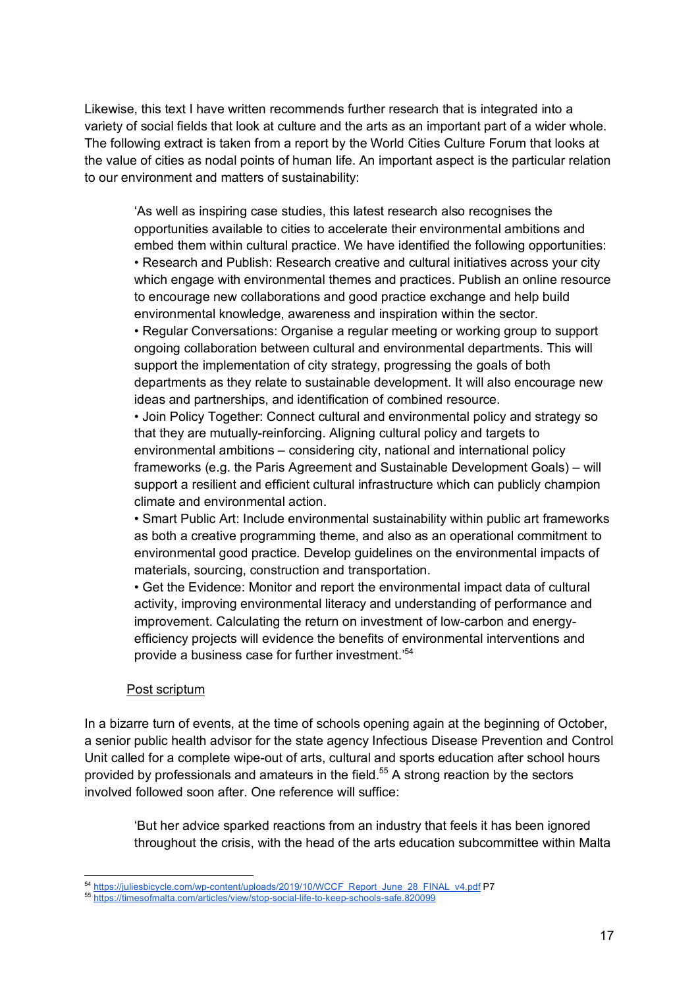Likewise, this text I have written recommends further research that is integrated into a variety of social fields that look at culture and the arts as an important part of a wider whole. The following extract is taken from a report by the World Cities Culture Forum that looks at the value of cities as nodal points of human life. An important aspect is the particular relation to our environment and matters of sustainability:

'As well as inspiring case studies, this latest research also recognises the opportunities available to cities to accelerate their environmental ambitions and embed them within cultural practice. We have identified the following opportunities: • Research and Publish: Research creative and cultural initiatives across your city which engage with environmental themes and practices. Publish an online resource to encourage new collaborations and good practice exchange and help build environmental knowledge, awareness and inspiration within the sector.

• Regular Conversations: Organise a regular meeting or working group to support ongoing collaboration between cultural and environmental departments. This will support the implementation of city strategy, progressing the goals of both departments as they relate to sustainable development. It will also encourage new ideas and partnerships, and identification of combined resource.

• Join Policy Together: Connect cultural and environmental policy and strategy so that they are mutually-reinforcing. Aligning cultural policy and targets to environmental ambitions – considering city, national and international policy frameworks (e.g. the Paris Agreement and Sustainable Development Goals) – will support a resilient and efficient cultural infrastructure which can publicly champion climate and environmental action.

• Smart Public Art: Include environmental sustainability within public art frameworks as both a creative programming theme, and also as an operational commitment to environmental good practice. Develop guidelines on the environmental impacts of materials, sourcing, construction and transportation.

• Get the Evidence: Monitor and report the environmental impact data of cultural activity, improving environmental literacy and understanding of performance and improvement. Calculating the return on investment of low-carbon and energyefficiency projects will evidence the benefits of environmental interventions and provide a business case for further investment.'54

#### Post scriptum

In a bizarre turn of events, at the time of schools opening again at the beginning of October, a senior public health advisor for the state agency Infectious Disease Prevention and Control Unit called for a complete wipe-out of arts, cultural and sports education after school hours provided by professionals and amateurs in the field.<sup>55</sup> A strong reaction by the sectors involved followed soon after. One reference will suffice:

'But her advice sparked reactions from an industry that feels it has been ignored throughout the crisis, with the head of the arts education subcommittee within Malta

<sup>&</sup>lt;sub>54</sub><br>54 https://juliesbicycle.com/wp-content/uploads/2019/10/WCCF\_Report\_June\_28\_FINAL\_v4.pdf P7

<sup>55</sup> https://timesofmalta.com/articles/view/stop-social-life-to-keep-schools-safe.820099